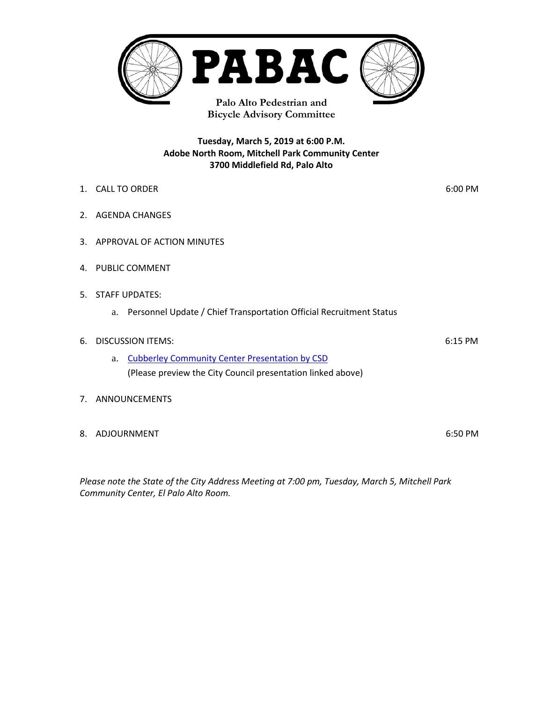

**Tuesday, March 5, 2019 at 6:00 P.M. Adobe North Room, Mitchell Park Community Center**

**3700 Middlefield Rd, Palo Alto** 

1. CALL TO ORDER 6:00 PM 2. AGENDA CHANGES 3. APPROVAL OF ACTION MINUTES 4. PUBLIC COMMENT 5. STAFF UPDATES: a. Personnel Update / Chief Transportation Official Recruitment Status 6. DISCUSSION ITEMS: 6:15 PM a. [Cubberley Community Center](https://midpenmedia.org/city-council-152-2112019/) Presentation by CSD (Please preview the City Council presentation linked above) 7. ANNOUNCEMENTS

8. ADJOURNMENT 6:50 PM

*Please note the State of the City Address Meeting at 7:00 pm, Tuesday, March 5, Mitchell Park Community Center, El Palo Alto Room.*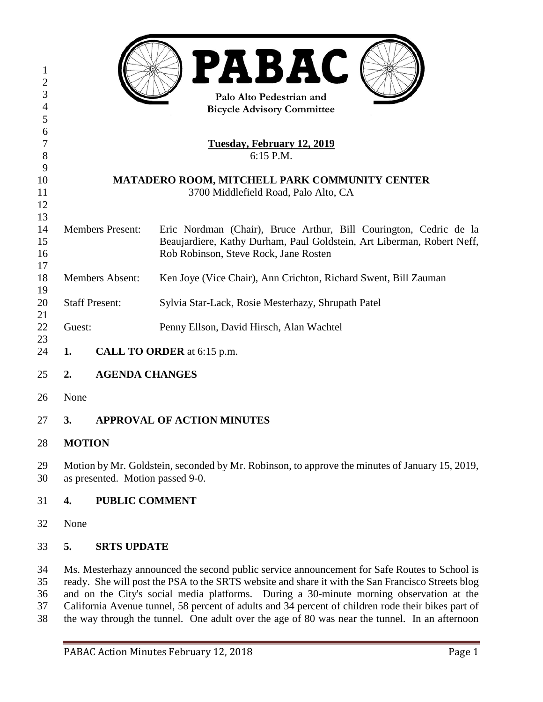| 1<br>$\mathbf{2}$          | <b>PABAC</b>                                                                                                                                                                                                                                                                                                                                                                                                                                                                                        |                    |                                                                        |
|----------------------------|-----------------------------------------------------------------------------------------------------------------------------------------------------------------------------------------------------------------------------------------------------------------------------------------------------------------------------------------------------------------------------------------------------------------------------------------------------------------------------------------------------|--------------------|------------------------------------------------------------------------|
| 3                          | Palo Alto Pedestrian and                                                                                                                                                                                                                                                                                                                                                                                                                                                                            |                    |                                                                        |
| $\overline{4}$             | <b>Bicycle Advisory Committee</b>                                                                                                                                                                                                                                                                                                                                                                                                                                                                   |                    |                                                                        |
| 5                          |                                                                                                                                                                                                                                                                                                                                                                                                                                                                                                     |                    |                                                                        |
| 6                          |                                                                                                                                                                                                                                                                                                                                                                                                                                                                                                     |                    |                                                                        |
| $\overline{7}$             | <u>Tuesday, February 12, 2019</u>                                                                                                                                                                                                                                                                                                                                                                                                                                                                   |                    |                                                                        |
| $8\,$<br>9                 | 6:15 P.M.                                                                                                                                                                                                                                                                                                                                                                                                                                                                                           |                    |                                                                        |
| 10                         | MATADERO ROOM, MITCHELL PARK COMMUNITY CENTER                                                                                                                                                                                                                                                                                                                                                                                                                                                       |                    |                                                                        |
| 11                         | 3700 Middlefield Road, Palo Alto, CA                                                                                                                                                                                                                                                                                                                                                                                                                                                                |                    |                                                                        |
| 12                         |                                                                                                                                                                                                                                                                                                                                                                                                                                                                                                     |                    |                                                                        |
| 13                         |                                                                                                                                                                                                                                                                                                                                                                                                                                                                                                     |                    |                                                                        |
| 14                         | <b>Members Present:</b>                                                                                                                                                                                                                                                                                                                                                                                                                                                                             |                    | Eric Nordman (Chair), Bruce Arthur, Bill Courington, Cedric de la      |
| 15                         |                                                                                                                                                                                                                                                                                                                                                                                                                                                                                                     |                    | Beaujardiere, Kathy Durham, Paul Goldstein, Art Liberman, Robert Neff, |
| 16                         |                                                                                                                                                                                                                                                                                                                                                                                                                                                                                                     |                    | Rob Robinson, Steve Rock, Jane Rosten                                  |
| 17                         |                                                                                                                                                                                                                                                                                                                                                                                                                                                                                                     |                    |                                                                        |
| 18<br>19                   | <b>Members Absent:</b>                                                                                                                                                                                                                                                                                                                                                                                                                                                                              |                    | Ken Joye (Vice Chair), Ann Crichton, Richard Swent, Bill Zauman        |
| 20                         | <b>Staff Present:</b>                                                                                                                                                                                                                                                                                                                                                                                                                                                                               |                    | Sylvia Star-Lack, Rosie Mesterhazy, Shrupath Patel                     |
| 21                         |                                                                                                                                                                                                                                                                                                                                                                                                                                                                                                     |                    |                                                                        |
| 22                         | Guest:                                                                                                                                                                                                                                                                                                                                                                                                                                                                                              |                    | Penny Ellson, David Hirsch, Alan Wachtel                               |
| 23                         |                                                                                                                                                                                                                                                                                                                                                                                                                                                                                                     |                    |                                                                        |
| 24                         | CALL TO ORDER at 6:15 p.m.<br>1.                                                                                                                                                                                                                                                                                                                                                                                                                                                                    |                    |                                                                        |
| 25                         | <b>AGENDA CHANGES</b><br>2.                                                                                                                                                                                                                                                                                                                                                                                                                                                                         |                    |                                                                        |
| 26                         | None                                                                                                                                                                                                                                                                                                                                                                                                                                                                                                |                    |                                                                        |
| 27                         | <b>APPROVAL OF ACTION MINUTES</b><br>3.                                                                                                                                                                                                                                                                                                                                                                                                                                                             |                    |                                                                        |
| 28                         | <b>MOTION</b>                                                                                                                                                                                                                                                                                                                                                                                                                                                                                       |                    |                                                                        |
| 29<br>30                   | Motion by Mr. Goldstein, seconded by Mr. Robinson, to approve the minutes of January 15, 2019,<br>as presented. Motion passed 9-0.                                                                                                                                                                                                                                                                                                                                                                  |                    |                                                                        |
| 31                         | <b>PUBLIC COMMENT</b><br>4.                                                                                                                                                                                                                                                                                                                                                                                                                                                                         |                    |                                                                        |
| 32                         | None                                                                                                                                                                                                                                                                                                                                                                                                                                                                                                |                    |                                                                        |
| 33                         | 5.                                                                                                                                                                                                                                                                                                                                                                                                                                                                                                  | <b>SRTS UPDATE</b> |                                                                        |
| 34<br>35<br>36<br>37<br>38 | Ms. Mesterhazy announced the second public service announcement for Safe Routes to School is<br>ready. She will post the PSA to the SRTS website and share it with the San Francisco Streets blog<br>and on the City's social media platforms. During a 30-minute morning observation at the<br>California Avenue tunnel, 58 percent of adults and 34 percent of children rode their bikes part of<br>the way through the tunnel. One adult over the age of 80 was near the tunnel. In an afternoon |                    |                                                                        |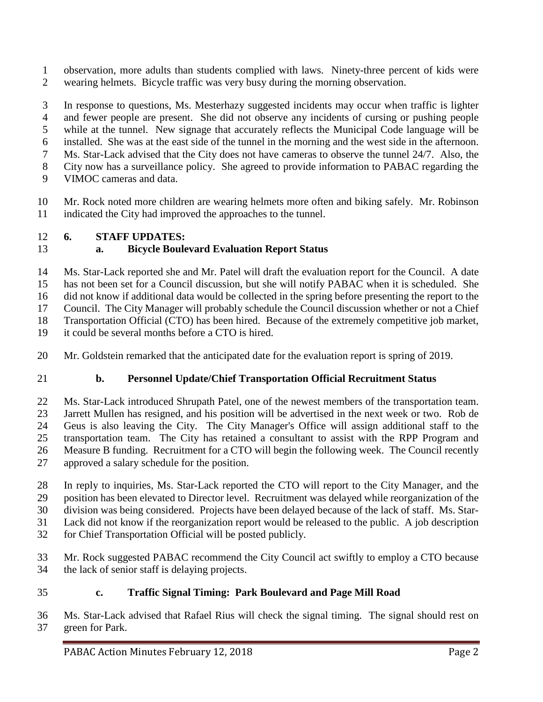observation, more adults than students complied with laws. Ninety-three percent of kids were wearing helmets. Bicycle traffic was very busy during the morning observation.

 In response to questions, Ms. Mesterhazy suggested incidents may occur when traffic is lighter and fewer people are present. She did not observe any incidents of cursing or pushing people while at the tunnel. New signage that accurately reflects the Municipal Code language will be installed. She was at the east side of the tunnel in the morning and the west side in the afternoon. Ms. Star-Lack advised that the City does not have cameras to observe the tunnel 24/7. Also, the City now has a surveillance policy. She agreed to provide information to PABAC regarding the VIMOC cameras and data.

 Mr. Rock noted more children are wearing helmets more often and biking safely. Mr. Robinson indicated the City had improved the approaches to the tunnel.

#### **6. STAFF UPDATES:**

#### **a. Bicycle Boulevard Evaluation Report Status**

 Ms. Star-Lack reported she and Mr. Patel will draft the evaluation report for the Council. A date has not been set for a Council discussion, but she will notify PABAC when it is scheduled. She did not know if additional data would be collected in the spring before presenting the report to the Council. The City Manager will probably schedule the Council discussion whether or not a Chief

Transportation Official (CTO) has been hired. Because of the extremely competitive job market,

it could be several months before a CTO is hired.

Mr. Goldstein remarked that the anticipated date for the evaluation report is spring of 2019.

# **b. Personnel Update/Chief Transportation Official Recruitment Status**

 Ms. Star-Lack introduced Shrupath Patel, one of the newest members of the transportation team. Jarrett Mullen has resigned, and his position will be advertised in the next week or two. Rob de Geus is also leaving the City. The City Manager's Office will assign additional staff to the transportation team. The City has retained a consultant to assist with the RPP Program and Measure B funding. Recruitment for a CTO will begin the following week. The Council recently approved a salary schedule for the position.

 In reply to inquiries, Ms. Star-Lack reported the CTO will report to the City Manager, and the position has been elevated to Director level. Recruitment was delayed while reorganization of the division was being considered. Projects have been delayed because of the lack of staff. Ms. Star-Lack did not know if the reorganization report would be released to the public. A job description

- for Chief Transportation Official will be posted publicly.
- Mr. Rock suggested PABAC recommend the City Council act swiftly to employ a CTO because the lack of senior staff is delaying projects.

# **c. Traffic Signal Timing: Park Boulevard and Page Mill Road**

 Ms. Star-Lack advised that Rafael Rius will check the signal timing. The signal should rest on green for Park.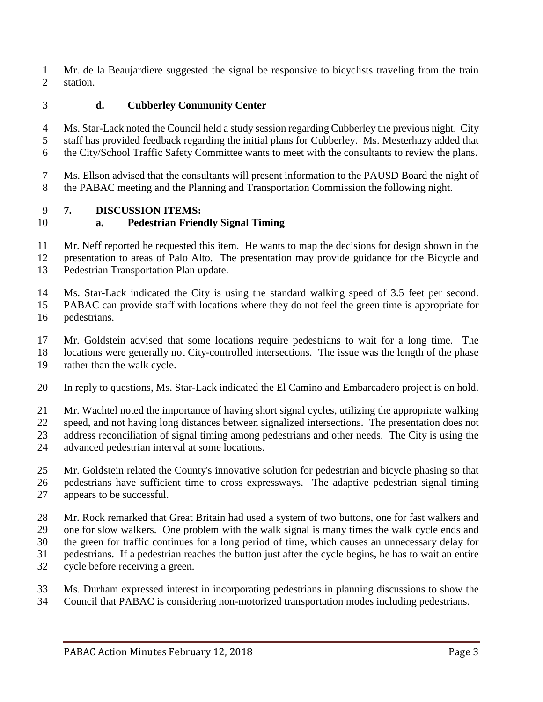Mr. de la Beaujardiere suggested the signal be responsive to bicyclists traveling from the train station.

# **d. Cubberley Community Center**

 Ms. Star-Lack noted the Council held a study session regarding Cubberley the previous night. City staff has provided feedback regarding the initial plans for Cubberley. Ms. Mesterhazy added that the City/School Traffic Safety Committee wants to meet with the consultants to review the plans.

 Ms. Ellson advised that the consultants will present information to the PAUSD Board the night of the PABAC meeting and the Planning and Transportation Commission the following night.

#### **7. DISCUSSION ITEMS:**

#### **a. Pedestrian Friendly Signal Timing**

Mr. Neff reported he requested this item. He wants to map the decisions for design shown in the

presentation to areas of Palo Alto. The presentation may provide guidance for the Bicycle and

Pedestrian Transportation Plan update.

 Ms. Star-Lack indicated the City is using the standard walking speed of 3.5 feet per second. PABAC can provide staff with locations where they do not feel the green time is appropriate for pedestrians.

Mr. Goldstein advised that some locations require pedestrians to wait for a long time. The

locations were generally not City-controlled intersections. The issue was the length of the phase

rather than the walk cycle.

In reply to questions, Ms. Star-Lack indicated the El Camino and Embarcadero project is on hold.

Mr. Wachtel noted the importance of having short signal cycles, utilizing the appropriate walking

speed, and not having long distances between signalized intersections. The presentation does not

address reconciliation of signal timing among pedestrians and other needs. The City is using the

advanced pedestrian interval at some locations.

Mr. Goldstein related the County's innovative solution for pedestrian and bicycle phasing so that

 pedestrians have sufficient time to cross expressways. The adaptive pedestrian signal timing appears to be successful.

Mr. Rock remarked that Great Britain had used a system of two buttons, one for fast walkers and

one for slow walkers. One problem with the walk signal is many times the walk cycle ends and

the green for traffic continues for a long period of time, which causes an unnecessary delay for

- pedestrians. If a pedestrian reaches the button just after the cycle begins, he has to wait an entire
- cycle before receiving a green.

 Ms. Durham expressed interest in incorporating pedestrians in planning discussions to show the Council that PABAC is considering non-motorized transportation modes including pedestrians.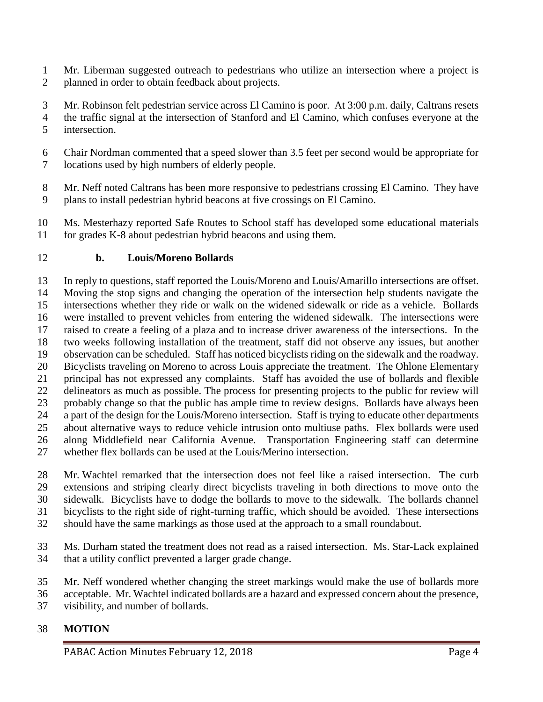- Mr. Liberman suggested outreach to pedestrians who utilize an intersection where a project is planned in order to obtain feedback about projects.
- Mr. Robinson felt pedestrian service across El Camino is poor. At 3:00 p.m. daily, Caltrans resets the traffic signal at the intersection of Stanford and El Camino, which confuses everyone at the intersection.
- Chair Nordman commented that a speed slower than 3.5 feet per second would be appropriate for locations used by high numbers of elderly people.
- Mr. Neff noted Caltrans has been more responsive to pedestrians crossing El Camino. They have plans to install pedestrian hybrid beacons at five crossings on El Camino.
- Ms. Mesterhazy reported Safe Routes to School staff has developed some educational materials for grades K-8 about pedestrian hybrid beacons and using them.

#### **b. Louis/Moreno Bollards**

 In reply to questions, staff reported the Louis/Moreno and Louis/Amarillo intersections are offset. Moving the stop signs and changing the operation of the intersection help students navigate the intersections whether they ride or walk on the widened sidewalk or ride as a vehicle. Bollards were installed to prevent vehicles from entering the widened sidewalk. The intersections were raised to create a feeling of a plaza and to increase driver awareness of the intersections. In the two weeks following installation of the treatment, staff did not observe any issues, but another observation can be scheduled. Staff has noticed bicyclists riding on the sidewalk and the roadway. Bicyclists traveling on Moreno to across Louis appreciate the treatment. The Ohlone Elementary principal has not expressed any complaints. Staff has avoided the use of bollards and flexible delineators as much as possible. The process for presenting projects to the public for review will probably change so that the public has ample time to review designs. Bollards have always been a part of the design for the Louis/Moreno intersection. Staff is trying to educate other departments about alternative ways to reduce vehicle intrusion onto multiuse paths. Flex bollards were used along Middlefield near California Avenue. Transportation Engineering staff can determine whether flex bollards can be used at the Louis/Merino intersection.

- Mr. Wachtel remarked that the intersection does not feel like a raised intersection. The curb extensions and striping clearly direct bicyclists traveling in both directions to move onto the sidewalk. Bicyclists have to dodge the bollards to move to the sidewalk. The bollards channel bicyclists to the right side of right-turning traffic, which should be avoided. These intersections should have the same markings as those used at the approach to a small roundabout.
- Ms. Durham stated the treatment does not read as a raised intersection. Ms. Star-Lack explained that a utility conflict prevented a larger grade change.
- Mr. Neff wondered whether changing the street markings would make the use of bollards more
- acceptable. Mr. Wachtel indicated bollards are a hazard and expressed concern about the presence, visibility, and number of bollards.

# **MOTION**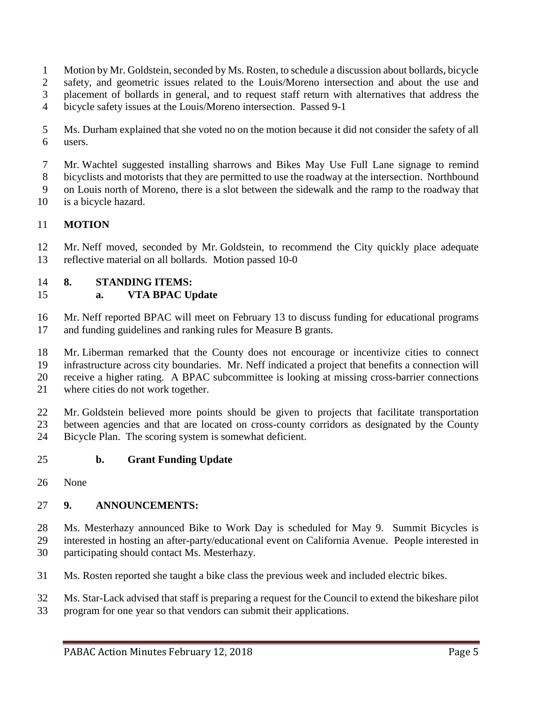- 1 Motion by Mr. Goldstein, seconded by Ms. Rosten, to schedule a discussion about bollards, bicycle
- safety, and geometric issues related to the Louis/Moreno intersection and about the use and
- placement of bollards in general, and to request staff return with alternatives that address the
- bicycle safety issues at the Louis/Moreno intersection. Passed 9-1
- Ms. Durham explained that she voted no on the motion because it did not consider the safety of all users.
- Mr. Wachtel suggested installing sharrows and Bikes May Use Full Lane signage to remind bicyclists and motorists that they are permitted to use the roadway at the intersection. Northbound
- on Louis north of Moreno, there is a slot between the sidewalk and the ramp to the roadway that
- is a bicycle hazard.

# **MOTION**

 Mr. Neff moved, seconded by Mr. Goldstein, to recommend the City quickly place adequate reflective material on all bollards. Motion passed 10-0

#### **8. STANDING ITEMS:**

# **a. VTA BPAC Update**

- Mr. Neff reported BPAC will meet on February 13 to discuss funding for educational programs and funding guidelines and ranking rules for Measure B grants.
- Mr. Liberman remarked that the County does not encourage or incentivize cities to connect
- infrastructure across city boundaries. Mr. Neff indicated a project that benefits a connection will receive a higher rating. A BPAC subcommittee is looking at missing cross-barrier connections
- - where cities do not work together.
	- Mr. Goldstein believed more points should be given to projects that facilitate transportation between agencies and that are located on cross-county corridors as designated by the County Bicycle Plan. The scoring system is somewhat deficient.

#### **b. Grant Funding Update**

None

# **9. ANNOUNCEMENTS:**

 Ms. Mesterhazy announced Bike to Work Day is scheduled for May 9. Summit Bicycles is interested in hosting an after-party/educational event on California Avenue. People interested in participating should contact Ms. Mesterhazy.

- Ms. Rosten reported she taught a bike class the previous week and included electric bikes.
- Ms. Star-Lack advised that staff is preparing a request for the Council to extend the bikeshare pilot
- program for one year so that vendors can submit their applications.